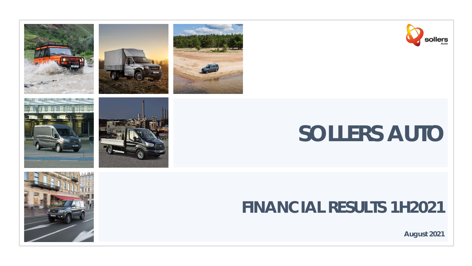







# **SOLLERS AUTO**

## **FINANCIAL RESULTS 1H2021**



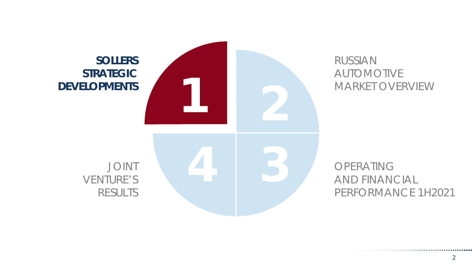

### AUTOMOTIVE MARKET OVERVIEW

AND FINANCIAL PERFORMANCE 1H2021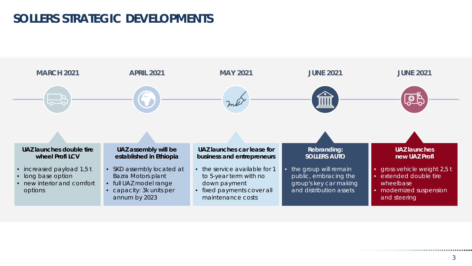### **SOLLERS STRATEGIC DEVELOPMENTS**

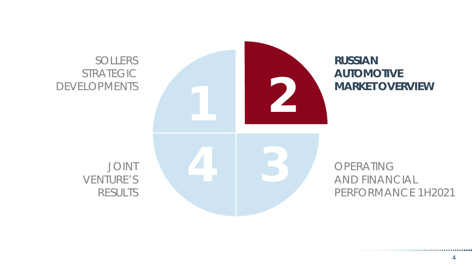#### SOLLERS STRATEGIC DEVELOPMENTS



#### **RUSSIAN AUTOMOTIVE MARKET OVERVIEW**

AND FINANCIAL PERFORMANCE 1H2021

JOINT VENTURE'S RESULTS

...................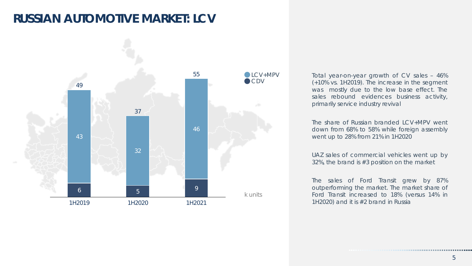### **RUSSIAN AUTOMOTIVE MARKET: LCV**



Total year-on-year growth of CV sales – 46% (+10% vs. 1H2019). The increase in the segment was mostly due to the low base effect. The sales rebound evidences business activity, primarily service industry revival

The share of Russian branded LCV+MPV went down from 68% to 58% while foreign assembly went up to 28% from 21% in 1H2020

UAZ sales of commercial vehicles went up by 32%, the brand is #3 position on the market

The sales of Ford Transit grew by 87% outperforming the market. The market share of Ford Transit increased to 18% (versus 14% in 1H2020) and it is #2 brand in Russia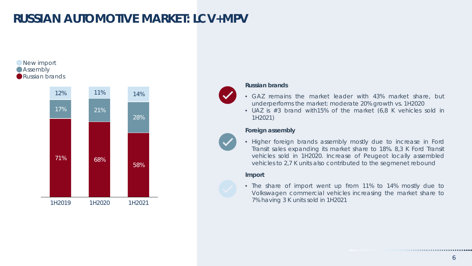### **RUSSIAN AUTOMOTIVE MARKET: LCV+MPV**



#### **Russian brands**

- GAZ remains the market leader with 43% market share, but underperforms the market: moderate 20% growth vs. 1H2020
- UAZ is #3 brand with15% of the market (6,8 K vehicles sold in 1H2021)

#### **Foreign assembly**

• Higher foreign brands assembly mostly due to increase in Ford Transit sales expanding its market share to 18%. 8,3 K Ford Transit vehicles sold in 1H2020. Increase of Peugeot locally assembled vehicles to 2,7 K units also contributed to the segmenet rebound

#### **Import**

• The share of import went up from 11% to 14% mostly due to Volkswagen commercial vehicles increasing the market share to 7% having 3 K units sold in 1H2021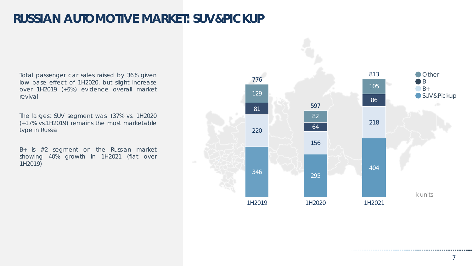### **RUSSIAN AUTOMOTIVE MARKET: SUV&PICKUP**

Total passenger car sales raised by 36% given low base effect of 1H2020, but slight increase over 1H2019 (+5%) evidence overall market revival

The largest SUV segment was +37% vs. 1H2020 (+17% vs.1H2019) remains the most marketable type in Russia

B+ is #2 segment on the Russian market showing 40% growth in 1H2021 (flat over 1H2019)

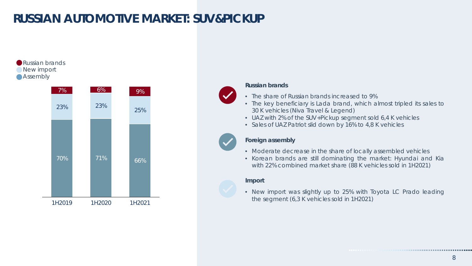### **RUSSIAN AUTOMOTIVE MARKET: SUV&PICKUP**



..........................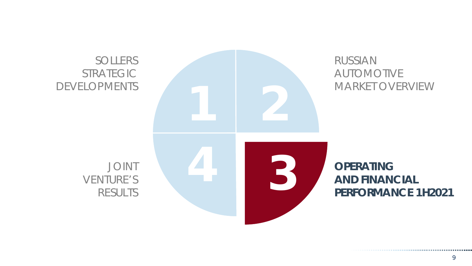

. . . . . . . . . . . . . . . . . . . .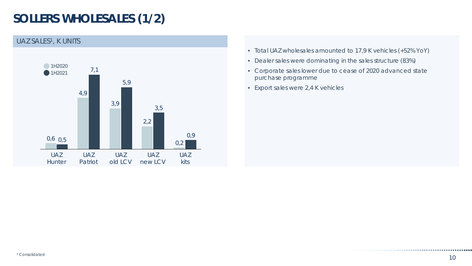### **SOLLERS WHOLESALES (1/2)**



- Total UAZ wholesales amounted to 17,9 K vehicles (+52% YoY)
- Dealer sales were dominating in the sales structure (83%)
- Corporate sales lower due to cease of 2020 advanced state purchase programme
- Export sales were 2,4 K vehicles

.......................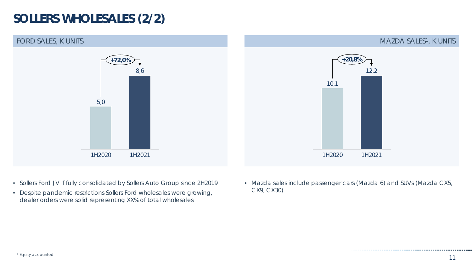### **SOLLERS WHOLESALES (2/2)**



- Sollers Ford JV if fully consolidated by Sollers Auto Group since 2H2019
- Despite pandemic restrictions Sollers Ford wholesales were growing, dealer orders were solid representing XX% of total wholesales

• Mazda sales include passenger cars (Mazda 6) and SUVs (Mazda CX5, CX9, CX30)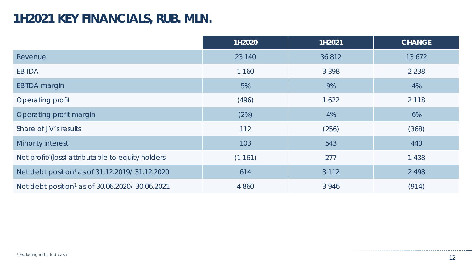#### **1H2021 KEY FINANCIALS, RUB. MLN.**

|                                                            | 1H2020  | 1H2021  | <b>CHANGE</b> |
|------------------------------------------------------------|---------|---------|---------------|
| Revenue                                                    | 23 140  | 36 812  | 13 672        |
| <b>EBITDA</b>                                              | 1 160   | 3 3 9 8 | 2 2 3 8       |
| <b>EBITDA</b> margin                                       | 5%      | 9%      | 4%            |
| Operating profit                                           | (496)   | 1 6 2 2 | 2 1 1 8       |
| Operating profit margin                                    | (2%)    | 4%      | 6%            |
| Share of JV's results                                      | 112     | (256)   | (368)         |
| Minority interest                                          | 103     | 543     | 440           |
| Net profit/(loss) attributable to equity holders           | (1161)  | 277     | 1 4 3 8       |
| Net debt position <sup>1</sup> as of 31.12.2019/31.12.2020 | 614     | 3 1 1 2 | 2 4 9 8       |
| Net debt position <sup>1</sup> as of 30.06.2020/30.06.2021 | 4 8 6 0 | 3 9 4 6 | (914)         |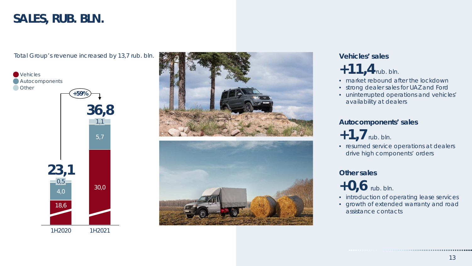#### **SALES, RUB. BLN.**





### **+11,4**rub. bln.

- market rebound after the lockdown
- strong dealer sales for UAZ and Ford
- uninterrupted operations and vehicles' availability at dealers

#### **Autocomponents' sales**

- **+1,7**rub. bln.
- resumed service operations at dealers drive high components' orders

#### **Other sales**

**+0,6** rub. bln.

- introduction of operating lease services
- growth of extended warranty and road assistance contacts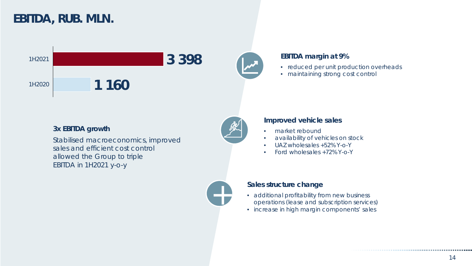### **EBITDA, RUB. MLN.**



#### **3x EBITDA growth**

Stabilised macroeconomics, improved sales and efficient cost control allowed the Group to triple EBITDA in 1H2021 y-o-y



#### **EBITDA margin at 9%**

- reduced per unit production overheads
- maintaining strong cost control



+

#### **Improved vehicle sales**

- market rebound
- availability of vehicles on stock
- UAZ wholesales +52% Y-o-Y
- Ford wholesales +72% Y-o-Y



- additional profitability from new business operations (lease and subscription services)
- increase in high margin components' sales

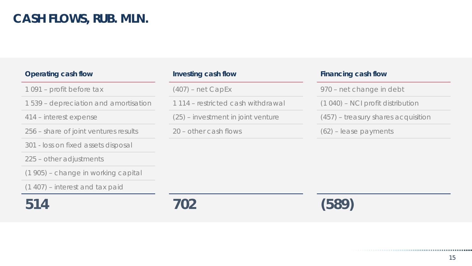### **CASH FLOWS, RUB. MLN.**

| Operating cash flow                   | Investing cash flow                | Financing cash flow                 |
|---------------------------------------|------------------------------------|-------------------------------------|
| 1091 – profit before tax              | $(407)$ – net CapEx                | 970 – net change in debt            |
| 1539 – depreciation and amortisation  | 1114 - restricted cash withdrawal  | (1 040) – NCI profit distribution   |
| 414 – interest expense                | (25) – investment in joint venture | (457) – treasury shares acquisition |
| 256 – share of joint ventures results | 20 – other cash flows              | $(62)$ – lease payments             |
| 301 - loss on fixed assets disposal   |                                    |                                     |
| 225 – other adjustments               |                                    |                                     |
| (1905) – change in working capital    |                                    |                                     |
| $(1 407)$ – interest and tax paid     |                                    |                                     |
| 514                                   |                                    |                                     |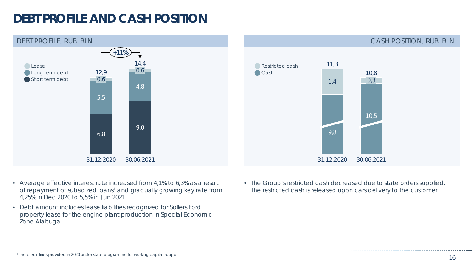### **DEBT PROFILE AND CASH POSITION**





- Average effective interest rate increased from 4,1% to 6,3% as a result of repayment of subsidized loans<sup>1</sup> and gradually growing key rate from 4,25% in Dec 2020 to 5,5% in Jun 2021
- Debt amount includes lease liabilities recognized for Sollers Ford property lease for the engine plant production in Special Economic Zone Alabuga

• The Group's restricted cash decreased due to state orders supplied. The restricted cash is released upon cars delivery to the customer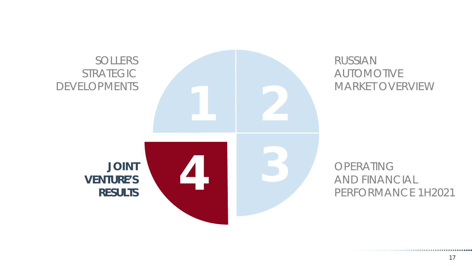

#### RUSSIAN AUTOMOTIVE MARKET OVERVIEW

AND FINANCIAL PERFORMANCE 1H2021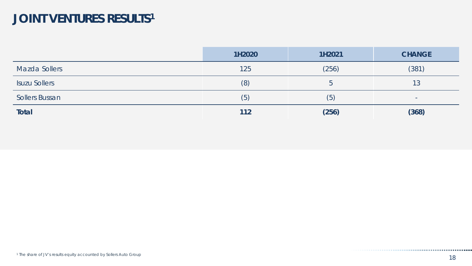### JOINT VENTURES RESULTS<sup>1</sup>

|                       | 1H2020 | 1H2021 | <b>CHANGE</b>            |
|-----------------------|--------|--------|--------------------------|
| Mazda Sollers         | 125    | (256)  | (381)                    |
| <b>Isuzu Sollers</b>  | (8)    |        | 13                       |
| <b>Sollers Bussan</b> | (5)    | (5)    | $\overline{\phantom{a}}$ |
| <b>Total</b>          | 112    | (256)  | (368)                    |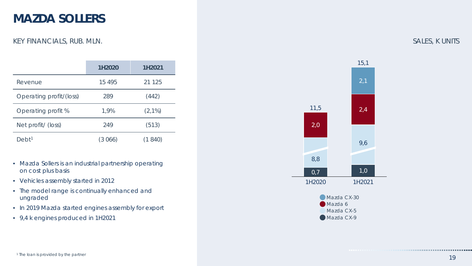#### **MAZDA SOLLERS**

#### KEY FINANCIALS, RUB. MLN.

|                         | 1H2020   | 1H2021    |
|-------------------------|----------|-----------|
| Revenue                 | 15 4 9 5 | 21 1 25   |
| Operating profit/(loss) | 289      | (442)     |
| Operating profit %      | 1,9%     | $(2,1\%)$ |
| Net profit/ (loss)      | 249      | (513)     |
| ebt <sup>1</sup>        | (3066)   | 840)      |

- Mazda Sollers is an industrial partnership operating on cost plus basis
- Vehicles assembly started in 2012
- The model range is continually enhanced and ungraded
- In 2019 Mazda started engines assembly for export
- 9,4 k engines produced in 1H2021



#### SALES, K UNITS